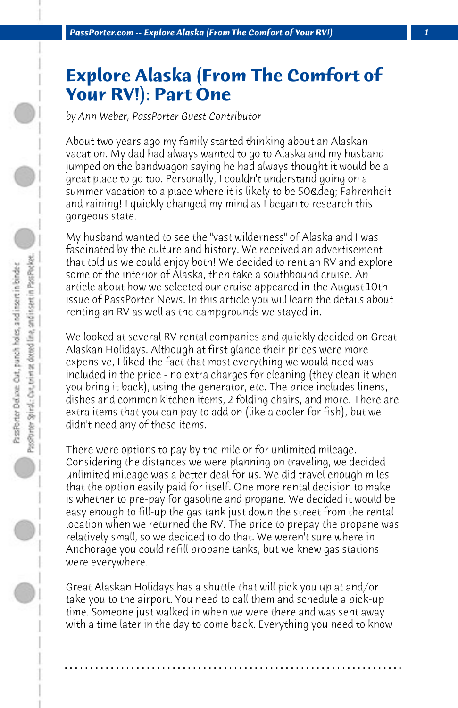## **Explore Alaska (From The Comfort of Your RV!): Part One**

*by Ann Weber, PassPorter Guest Contributor*

About two years ago my family started thinking about an Alaskan vacation. My dad had always wanted to go to Alaska and my husband jumped on the bandwagon saying he had always thought it would be a great place to go too. Personally, I couldn't understand going on a summer vacation to a place where it is likely to be 50& deg; Fahrenheit and raining! I quickly changed my mind as I began to research this gorgeous state.

My husband wanted to see the "vast wilderness" of Alaska and I was fascinated by the culture and history. We received an advertisement that told us we could enjoy both! We decided to rent an RV and explore some of the interior of Alaska, then take a southbound cruise. An article about how we selected our cruise appeared in the August 10th issue of PassPorter News. In this article you will learn the details about renting an RV as well as the campgrounds we stayed in.

We looked at several RV rental companies and quickly decided on Great Alaskan Holidays. Although at first glance their prices were more expensive, I liked the fact that most everything we would need was included in the price - no extra charges for cleaning (they clean it when you bring it back), using the generator, etc. The price includes linens, dishes and common kitchen items, 2 folding chairs, and more. There are extra items that you can pay to add on (like a cooler for fish), but we didn't need any of these items.

There were options to pay by the mile or for unlimited mileage. Considering the distances we were planning on traveling, we decided unlimited mileage was a better deal for us. We did travel enough miles that the option easily paid for itself. One more rental decision to make is whether to pre-pay for gasoline and propane. We decided it would be easy enough to fill-up the gas tank just down the street from the rental location when we returned the RV. The price to prepay the propane was relatively small, so we decided to do that. We weren't sure where in Anchorage you could refill propane tanks, but we knew gas stations were everywhere.

Great Alaskan Holidays has a shuttle that will pick you up at and/or take you to the airport. You need to call them and schedule a pick-up time. Someone just walked in when we were there and was sent away with a time later in the day to come back. Everything you need to know

**. . . . . . . . . . . . . . . . . . . . . . . . . . . . . . . . . . . . . . . . . . . . . . . . . . . . . . . . . . . . . . . . . .**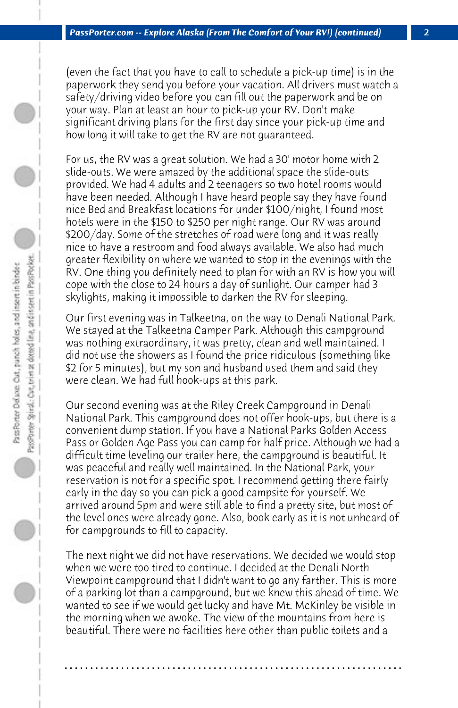(even the fact that you have to call to schedule a pick-up time) is in the paperwork they send you before your vacation. All drivers must watch a safety/driving video before you can fill out the paperwork and be on your way. Plan at least an hour to pick-up your RV. Don't make significant driving plans for the first day since your pick-up time and how long it will take to get the RV are not guaranteed.

For us, the RV was a great solution. We had a 30' motor home with 2 slide-outs. We were amazed by the additional space the slide-outs provided. We had 4 adults and 2 teenagers so two hotel rooms would have been needed. Although I have heard people say they have found nice Bed and Breakfast locations for under \$100/night, I found most hotels were in the \$150 to \$250 per night range. Our RV was around \$200/day. Some of the stretches of road were long and it was really nice to have a restroom and food always available. We also had much greater flexibility on where we wanted to stop in the evenings with the RV. One thing you definitely need to plan for with an RV is how you will cope with the close to 24 hours a day of sunlight. Our camper had 3 skylights, making it impossible to darken the RV for sleeping.

Our first evening was in Talkeetna, on the way to Denali National Park. We stayed at the Talkeetna Camper Park. Although this campground was nothing extraordinary, it was pretty, clean and well maintained. I did not use the showers as I found the price ridiculous (something like \$2 for 5 minutes), but my son and husband used them and said they were clean. We had full hook-ups at this park.

Our second evening was at the Riley Creek Campground in Denali National Park. This campground does not offer hook-ups, but there is a convenient dump station. If you have a National Parks Golden Access Pass or Golden Age Pass you can camp for half price. Although we had a difficult time leveling our trailer here, the campground is beautiful. It was peaceful and really well maintained. In the National Park, your reservation is not for a specific spot. I recommend getting there fairly early in the day so you can pick a good campsite for yourself. We arrived around 5pm and were still able to find a pretty site, but most of the level ones were already gone. Also, book early as it is not unheard of for campgrounds to fill to capacity.

The next night we did not have reservations. We decided we would stop when we were too tired to continue. I decided at the Denali North Viewpoint campground that I didn't want to go any farther. This is more of a parking lot than a campground, but we knew this ahead of time. We wanted to see if we would get lucky and have Mt. McKinley be visible in the morning when we awoke. The view of the mountains from here is beautiful. There were no facilities here other than public toilets and a

**. . . . . . . . . . . . . . . . . . . . . . . . . . . . . . . . . . . . . . . . . . . . . . . . . . . . . . . . . . . . . . . . . .**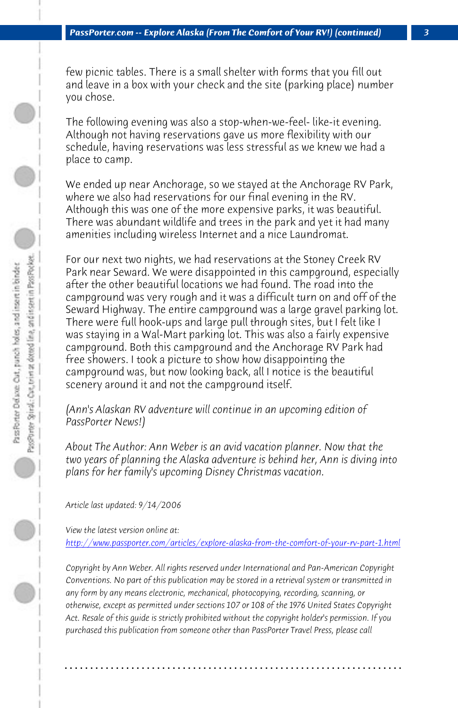## *PassPorter.com -- Explore Alaska (From The Comfort of Your RV!) (continued)*

few picnic tables. There is a small shelter with forms that you fill out and leave in a box with your check and the site (parking place) number you chose.

The following evening was also a stop-when-we-feel- like-it evening. Although not having reservations gave us more flexibility with our schedule, having reservations was less stressful as we knew we had a place to camp.

We ended up near Anchorage, so we stayed at the Anchorage RV Park, where we also had reservations for our final evening in the RV. Although this was one of the more expensive parks, it was beautiful. There was abundant wildlife and trees in the park and yet it had many amenities including wireless Internet and a nice Laundromat.

For our next two nights, we had reservations at the Stoney Creek RV Park near Seward. We were disappointed in this campground, especially after the other beautiful locations we had found. The road into the campground was very rough and it was a difficult turn on and off of the Seward Highway. The entire campground was a large gravel parking lot. There were full hook-ups and large pull through sites, but I felt like I [was staying in a Wal-Mart parking lot. This was also a fairly expensive](http://www.passporter.com/articles/explore-alaska-from-the-comfort-of-your-rv-part-1.php) campground. Both this campground and the Anchorage RV Park had free showers. I took a picture to show how disappointing the campground was, but now looking back, all I notice is the beautiful scenery around it and not the campground itself.

*(Ann's Alaskan RV adventure will continue in an upcoming edition of PassPorter News!)*

*About The Author: Ann Weber is an avid vacation planner. Now that the two years of planning the Alaska adventure is behind her, Ann is diving into plans for her family's upcoming Disney Christmas vacation.*

*Article last updated: 9/14/2006*

*View the latest version online at:* 

*http://www.passporter.com/articles/explore-alaska-from-the-comfort-of-your-rv-part-1.html*

*Copyright by Ann Weber. All rights reserved under International and Pan-American Copyright Conventions. No part of this publication may be stored in a retrieval system or transmitted in any form by any means electronic, mechanical, photocopying, recording, scanning, or otherwise, except as permitted under sections 107 or 108 of the 1976 United States Copyright Act. Resale of this guide is strictly prohibited without the copyright holder's permission. If you purchased this publication from someone other than PassPorter Travel Press, please call*

**. . . . . . . . . . . . . . . . . . . . . . . . . . . . . . . . . . . . . . . . . . . . . . . . . . . . . . . . . . . . . . . . . .**

 $\circ$